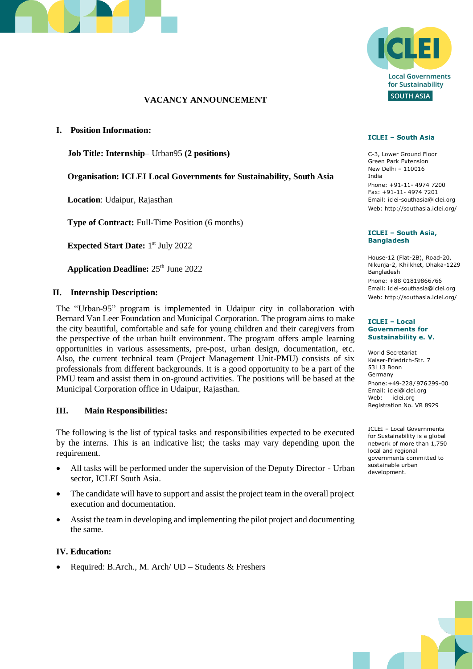

# **VACANCY ANNOUNCEMENT**

**I. Position Information:**

**Job Title: Internship–** Urban95 **(2 positions)**

**Organisation: ICLEI Local Governments for Sustainability, South Asia**

**Location**: Udaipur, Rajasthan

**Type of Contract:** Full-Time Position (6 months)

**Expected Start Date:** 1<sup>st</sup> July 2022

Application Deadline: 25<sup>th</sup> June 2022

#### **II. Internship Description:**

The "Urban-95" program is implemented in Udaipur city in collaboration with Bernard Van Leer Foundation and Municipal Corporation. The program aims to make the city beautiful, comfortable and safe for young children and their caregivers from the perspective of the urban built environment. The program offers ample learning opportunities in various assessments, pre-post, urban design, documentation, etc. Also, the current technical team (Project Management Unit-PMU) consists of six professionals from different backgrounds. It is a good opportunity to be a part of the PMU team and assist them in on-ground activities. The positions will be based at the Municipal Corporation office in Udaipur, Rajasthan.

#### **III. Main Responsibilities:**

The following is the list of typical tasks and responsibilities expected to be executed by the interns. This is an indicative list; the tasks may vary depending upon the requirement.

- All tasks will be performed under the supervision of the Deputy Director Urban sector, ICLEI South Asia.
- The candidate will have to support and assist the project team in the overall project execution and documentation.
- Assist the team in developing and implementing the pilot project and documenting the same.

#### **IV. Education:**

• Required: B.Arch., M. Arch/ UD – Students & Freshers



#### **ICLEI – South Asia**

C-3, Lower Ground Floor Green Park Extension New Delhi – 110016 India Phone: +91-11- 4974 7200 Fax: +91-11- 4974 7201 Email: [iclei-southasia@iclei.org](mailto:iclei-southasia@iclei.org) Web: http://southasia.iclei.org/

#### **ICLEI – South Asia, Bangladesh**

House-12 (Flat-2B), Road-20, Nikunja-2, Khilkhet, Dhaka-1229 Bangladesh Phone: +88 01819866766 Email: [iclei-southasia@iclei.org](mailto:iclei-southasia@iclei.org) Web: http://southasia.iclei.org/

#### **ICLEI – Local Governments for Sustainability e. V.**

World Secretariat Kaiser-Friedrich-Str. 7 53113 Bonn Germany Phone:+49-228 / 976299-00 Email: iclei@iclei.org Web: iclei.org Registration No. VR 8929

ICLEI – Local Governments for Sustainability is a global network of more than 1,750 local and regional governments committed to sustainable urban development.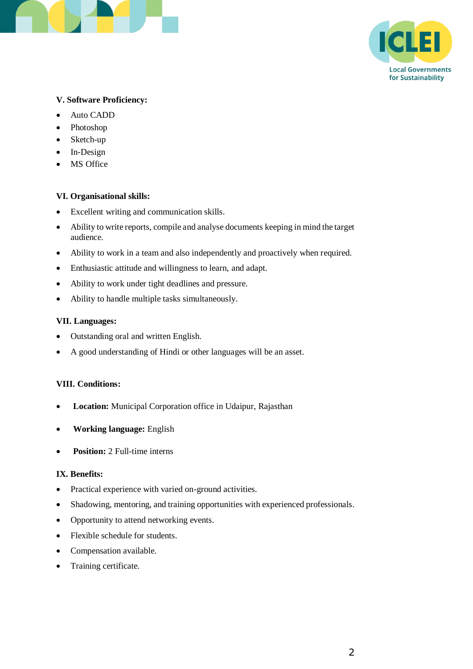



# **V. Software Proficiency:**

- Auto CADD
- Photoshop
- Sketch-up
- In-Design
- MS Office

# **VI. Organisational skills:**

- Excellent writing and communication skills.
- Ability to write reports, compile and analyse documents keeping in mind the target audience.
- Ability to work in a team and also independently and proactively when required.
- Enthusiastic attitude and willingness to learn, and adapt.
- Ability to work under tight deadlines and pressure.
- Ability to handle multiple tasks simultaneously.

#### **VII. Languages:**

- Outstanding oral and written English.
- A good understanding of Hindi or other languages will be an asset.

#### **VIII. Conditions:**

- **Location:** Municipal Corporation office in Udaipur, Rajasthan
- **Working language:** English
- **Position:** 2 Full-time interns

# **IX. Benefits:**

- Practical experience with varied on-ground activities.
- Shadowing, mentoring, and training opportunities with experienced professionals.
- Opportunity to attend networking events.
- Flexible schedule for students.
- Compensation available.
- Training certificate.